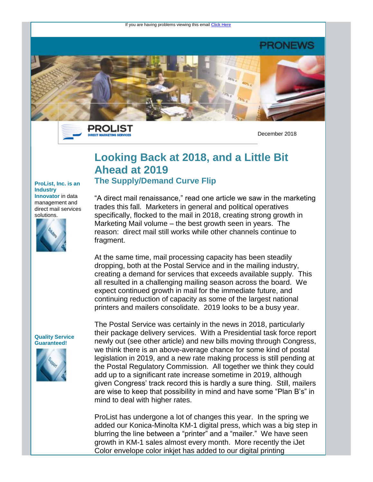If you are having problems viewing this email [Click Here](https://secure.campaigner.com/csb/Public/show/c2f1-yl3by--iyccc-73hxxqp2)

### PRONEWS



PROLIST **DIRECT MARKETING SERVI** 

December 2018

## **Looking Back at 2018, and a Little Bit Ahead at 2019 The Supply/Demand Curve Flip**

#### **ProList, Inc. is an Industry Innovator** in data management and direct mail services



"A direct mail renaissance," read one article we saw in the marketing trades this fall. Marketers in general and political operatives specifically, flocked to the mail in 2018, creating strong growth in Marketing Mail volume – the best growth seen in years. The reason: direct mail still works while other channels continue to fragment.

At the same time, mail processing capacity has been steadily dropping, both at the Postal Service and in the mailing industry, creating a demand for services that exceeds available supply. This all resulted in a challenging mailing season across the board. We expect continued growth in mail for the immediate future, and continuing reduction of capacity as some of the largest national printers and mailers consolidate. 2019 looks to be a busy year.

#### **Quality Service Guaranteed!**



The Postal Service was certainly in the news in 2018, particularly their package delivery services. With a Presidential task force report newly out (see other article) and new bills moving through Congress, we think there is an above-average chance for some kind of postal legislation in 2019, and a new rate making process is still pending at the Postal Regulatory Commission. All together we think they could add up to a significant rate increase sometime in 2019, although given Congress' track record this is hardly a sure thing. Still, mailers are wise to keep that possibility in mind and have some "Plan B's" in mind to deal with higher rates.

ProList has undergone a lot of changes this year. In the spring we added our Konica-Minolta KM-1 digital press, which was a big step in blurring the line between a "printer" and a "mailer." We have seen growth in KM-1 sales almost every month. More recently the iJet Color envelope color inkjet has added to our digital printing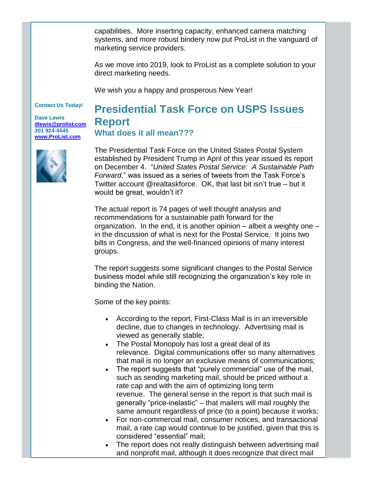capabilities. More inserting capacity, enhanced camera matching systems, and more robust bindery now put ProList in the vanguard of marketing service providers.

As we move into 2019, look to ProList as a complete solution to your direct marketing needs.

We wish you a happy and prosperous New Year!

#### **Contact Us Today!**

**Dave Lewis [dlewis@prolist.com](mailto:dlewis@prolist.com) 301 924-4545 [www.ProList.com](http://trk.publicaster.com/click/c2f1-yl3by-ilviyo-73hxxqp2/)**



# **Presidential Task Force on USPS Issues Report What does it all mean???**

The Presidential Task Force on the United States Postal System established by President Trump in April of this year issued its report on December 4. "*United States Postal Service: A Sustainable Path Forward*," was issued as a series of tweets from the Task Force's Twitter account @realtaskforce. OK, that last bit isn't true – but it would be great, wouldn't it?

The actual report is 74 pages of well thought analysis and recommendations for a sustainable path forward for the organization. In the end, it is another opinion – albeit a weighty one – in the discussion of what is next for the Postal Service. It joins two bills in Congress, and the well-financed opinions of many interest groups.

The report suggests some significant changes to the Postal Service business model while still recognizing the organization's key role in binding the Nation.

Some of the key points:

- According to the report, First-Class Mail is in an irreversible decline, due to changes in technology. Advertising mail is viewed as generally stable;
- The Postal Monopoly has lost a great deal of its relevance. Digital communications offer so many alternatives that mail is no longer an exclusive means of communications;
- The report suggests that "purely commercial" use of the mail, such as sending marketing mail, should be priced without a rate cap and with the aim of optimizing long term revenue. The general sense in the report is that such mail is generally "price-inelastic" – that mailers will mail roughly the same amount regardless of price (to a point) because it works;
- For non-commercial mail, consumer notices, and transactional mail, a rate cap would continue to be justified, given that this is considered "essential" mail;
- The report does not really distinguish between advertising mail and nonprofit mail, although it does recognize that direct mail